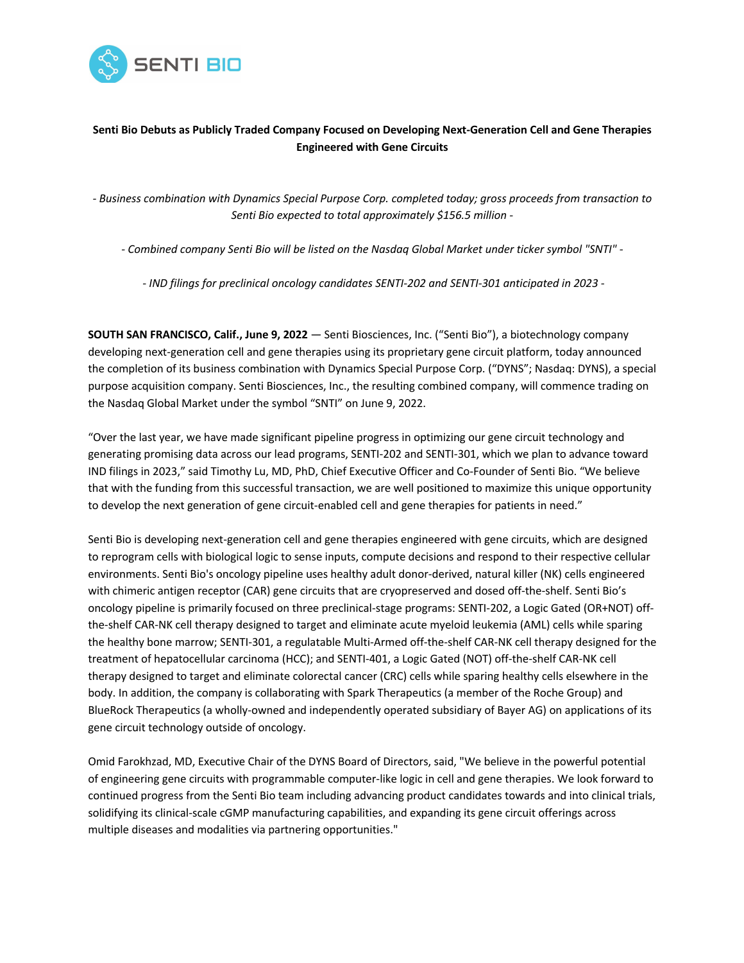

# **Senti Bio Debuts as Publicly Traded Company Focused on Developing Next-Generation Cell and Gene Therapies Engineered with Gene Circuits**

*- Business combination with Dynamics Special Purpose Corp. completed today; gross proceeds from transaction to Senti Bio expected to total approximately \$156.5 million -*

- Combined company Senti Bio will be listed on the Nasdag Global Market under ticker symbol "SNTI" -

*- IND filings for preclinical oncology candidates SENTI-202 and SENTI-301 anticipated in 2023 -*

**SOUTH SAN FRANCISCO, Calif., June 9, 2022** — Senti Biosciences, Inc. ("Senti Bio"), a biotechnology company developing next-generation cell and gene therapies using its proprietary gene circuit platform, today announced the completion of its business combination with Dynamics Special Purpose Corp. ("DYNS"; Nasdaq: DYNS), a special purpose acquisition company. Senti Biosciences, Inc., the resulting combined company, will commence trading on the Nasdaq Global Market under the symbol "SNTI" on June 9, 2022.

"Over the last year, we have made significant pipeline progress in optimizing our gene circuit technology and generating promising data across our lead programs, SENTI-202 and SENTI-301, which we plan to advance toward IND filings in 2023," said Timothy Lu, MD, PhD, Chief Executive Officer and Co-Founder of Senti Bio. "We believe that with the funding from this successful transaction, we are well positioned to maximize this unique opportunity to develop the next generation of gene circuit-enabled cell and gene therapies for patients in need."

Senti Bio is developing next-generation cell and gene therapies engineered with gene circuits, which are designed to reprogram cells with biological logic to sense inputs, compute decisions and respond to their respective cellular environments. Senti Bio's oncology pipeline uses healthy adult donor-derived, natural killer (NK) cells engineered with chimeric antigen receptor (CAR) gene circuits that are cryopreserved and dosed off-the-shelf. Senti Bio's oncology pipeline is primarily focused on three preclinical-stage programs: SENTI-202, a Logic Gated (OR+NOT) offthe-shelf CAR-NK cell therapy designed to target and eliminate acute myeloid leukemia (AML) cells while sparing the healthy bone marrow; SENTI-301, a regulatable Multi-Armed off-the-shelf CAR-NK cell therapy designed for the treatment of hepatocellular carcinoma (HCC); and SENTI-401, a Logic Gated (NOT) off-the-shelf CAR-NK cell therapy designed to target and eliminate colorectal cancer (CRC) cells while sparing healthy cells elsewhere in the body. In addition, the company is collaborating with Spark Therapeutics (a member of the Roche Group) and BlueRock Therapeutics (a wholly-owned and independently operated subsidiary of Bayer AG) on applications of its gene circuit technology outside of oncology.

Omid Farokhzad, MD, Executive Chair of the DYNS Board of Directors, said, "We believe in the powerful potential of engineering gene circuits with programmable computer-like logic in cell and gene therapies. We look forward to continued progress from the Senti Bio team including advancing product candidates towards and into clinical trials, solidifying its clinical-scale cGMP manufacturing capabilities, and expanding its gene circuit offerings across multiple diseases and modalities via partnering opportunities."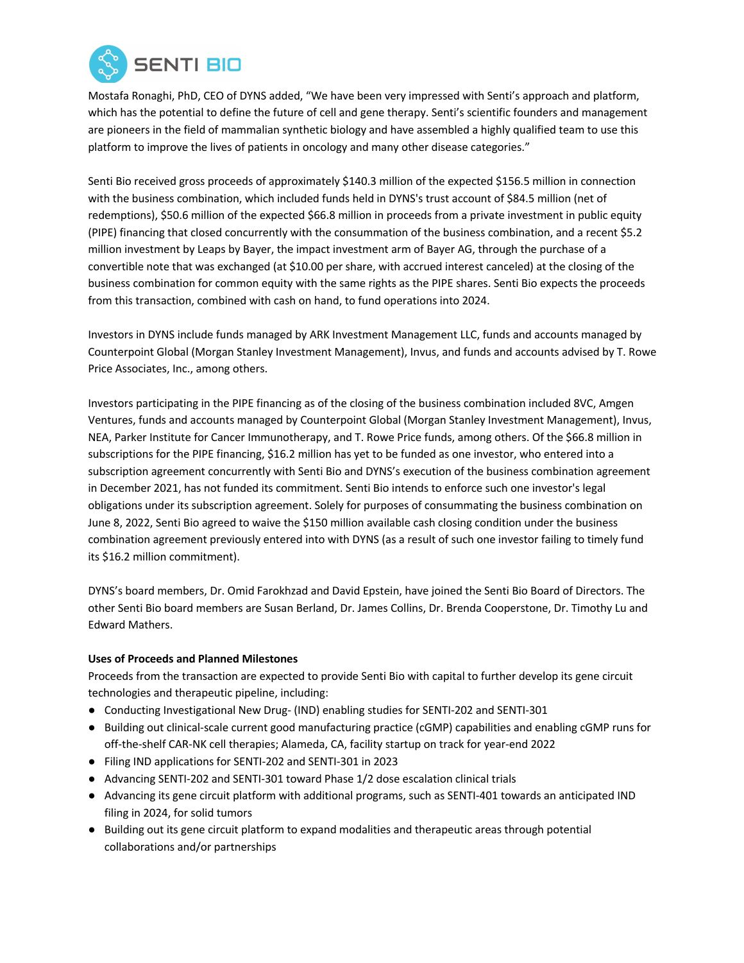

Mostafa Ronaghi, PhD, CEO of DYNS added, "We have been very impressed with Senti's approach and platform, which has the potential to define the future of cell and gene therapy. Senti's scientific founders and management are pioneers in the field of mammalian synthetic biology and have assembled a highly qualified team to use this platform to improve the lives of patients in oncology and many other disease categories."

Senti Bio received gross proceeds of approximately \$140.3 million of the expected \$156.5 million in connection with the business combination, which included funds held in DYNS's trust account of \$84.5 million (net of redemptions), \$50.6 million of the expected \$66.8 million in proceeds from a private investment in public equity (PIPE) financing that closed concurrently with the consummation of the business combination, and a recent \$5.2 million investment by Leaps by Bayer, the impact investment arm of Bayer AG, through the purchase of a convertible note that was exchanged (at \$10.00 per share, with accrued interest canceled) at the closing of the business combination for common equity with the same rights as the PIPE shares. Senti Bio expects the proceeds from this transaction, combined with cash on hand, to fund operations into 2024.

Investors in DYNS include funds managed by ARK Investment Management LLC, funds and accounts managed by Counterpoint Global (Morgan Stanley Investment Management), Invus, and funds and accounts advised by T. Rowe Price Associates, Inc., among others.

Investors participating in the PIPE financing as of the closing of the business combination included 8VC, Amgen Ventures, funds and accounts managed by Counterpoint Global (Morgan Stanley Investment Management), Invus, NEA, Parker Institute for Cancer Immunotherapy, and T. Rowe Price funds, among others. Of the \$66.8 million in subscriptions for the PIPE financing, \$16.2 million has yet to be funded as one investor, who entered into a subscription agreement concurrently with Senti Bio and DYNS's execution of the business combination agreement in December 2021, has not funded its commitment. Senti Bio intends to enforce such one investor's legal obligations under its subscription agreement. Solely for purposes of consummating the business combination on June 8, 2022, Senti Bio agreed to waive the \$150 million available cash closing condition under the business combination agreement previously entered into with DYNS (as a result of such one investor failing to timely fund its \$16.2 million commitment).

DYNS's board members, Dr. Omid Farokhzad and David Epstein, have joined the Senti Bio Board of Directors. The other Senti Bio board members are Susan Berland, Dr. James Collins, Dr. Brenda Cooperstone, Dr. Timothy Lu and Edward Mathers.

## **Uses of Proceeds and Planned Milestones**

Proceeds from the transaction are expected to provide Senti Bio with capital to further develop its gene circuit technologies and therapeutic pipeline, including:

- Conducting Investigational New Drug- (IND) enabling studies for SENTI-202 and SENTI-301
- Building out clinical-scale current good manufacturing practice (cGMP) capabilities and enabling cGMP runs for off-the-shelf CAR-NK cell therapies; Alameda, CA, facility startup on track for year-end 2022
- Filing IND applications for SENTI-202 and SENTI-301 in 2023
- Advancing SENTI-202 and SENTI-301 toward Phase 1/2 dose escalation clinical trials
- Advancing its gene circuit platform with additional programs, such as SENTI-401 towards an anticipated IND filing in 2024, for solid tumors
- Building out its gene circuit platform to expand modalities and therapeutic areas through potential collaborations and/or partnerships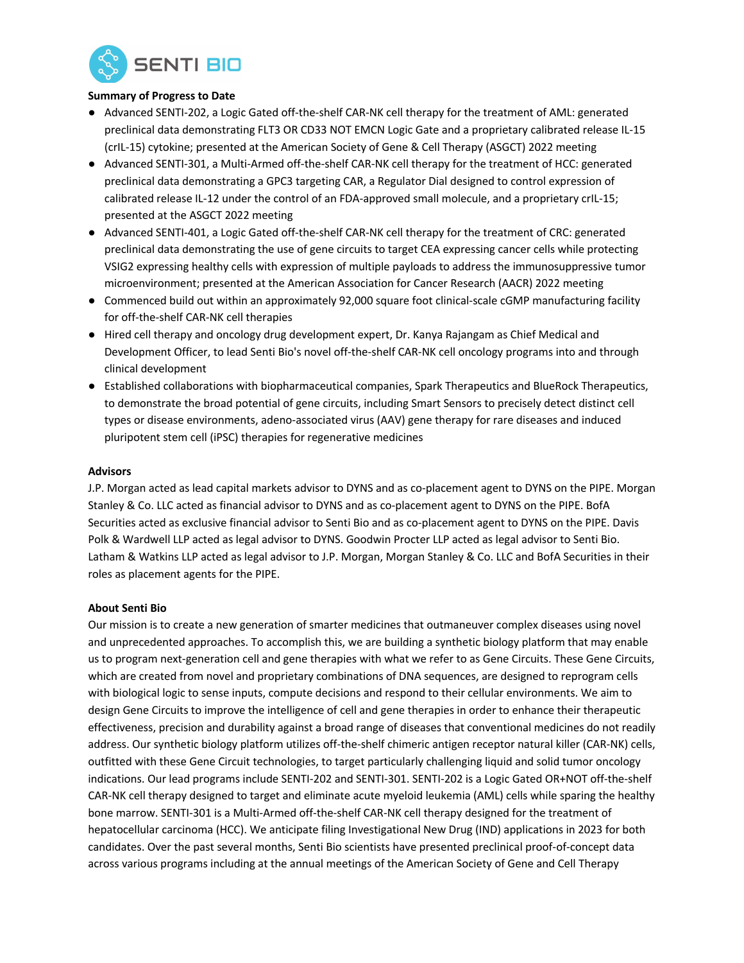

### **Summary of Progress to Date**

- Advanced SENTI-202, a Logic Gated off-the-shelf CAR-NK cell therapy for the treatment of AML: generated preclinical data demonstrating FLT3 OR CD33 NOT EMCN Logic Gate and a proprietary calibrated release IL-15 (crIL-15) cytokine; presented at the American Society of Gene & Cell Therapy (ASGCT) 2022 meeting
- Advanced SENTI-301, a Multi-Armed off-the-shelf CAR-NK cell therapy for the treatment of HCC: generated preclinical data demonstrating a GPC3 targeting CAR, a Regulator Dial designed to control expression of calibrated release IL-12 under the control of an FDA-approved small molecule, and a proprietary crIL-15; presented at the ASGCT 2022 meeting
- Advanced SENTI-401, a Logic Gated off-the-shelf CAR-NK cell therapy for the treatment of CRC: generated preclinical data demonstrating the use of gene circuits to target CEA expressing cancer cells while protecting VSIG2 expressing healthy cells with expression of multiple payloads to address the immunosuppressive tumor microenvironment; presented at the American Association for Cancer Research (AACR) 2022 meeting
- Commenced build out within an approximately 92,000 square foot clinical-scale cGMP manufacturing facility for off-the-shelf CAR-NK cell therapies
- Hired cell therapy and oncology drug development expert, Dr. Kanya Rajangam as Chief Medical and Development Officer, to lead Senti Bio's novel off-the-shelf CAR-NK cell oncology programs into and through clinical development
- Established collaborations with biopharmaceutical companies, Spark Therapeutics and BlueRock Therapeutics, to demonstrate the broad potential of gene circuits, including Smart Sensors to precisely detect distinct cell types or disease environments, adeno-associated virus (AAV) gene therapy for rare diseases and induced pluripotent stem cell (iPSC) therapies for regenerative medicines

### **Advisors**

J.P. Morgan acted as lead capital markets advisor to DYNS and as co-placement agent to DYNS on the PIPE. Morgan Stanley & Co. LLC acted as financial advisor to DYNS and as co-placement agent to DYNS on the PIPE. BofA Securities acted as exclusive financial advisor to Senti Bio and as co-placement agent to DYNS on the PIPE. Davis Polk & Wardwell LLP acted as legal advisor to DYNS. Goodwin Procter LLP acted as legal advisor to Senti Bio. Latham & Watkins LLP acted as legal advisor to J.P. Morgan, Morgan Stanley & Co. LLC and BofA Securities in their roles as placement agents for the PIPE.

## **About Senti Bio**

Our mission is to create a new generation of smarter medicines that outmaneuver complex diseases using novel and unprecedented approaches. To accomplish this, we are building a synthetic biology platform that may enable us to program next-generation cell and gene therapies with what we refer to as Gene Circuits. These Gene Circuits, which are created from novel and proprietary combinations of DNA sequences, are designed to reprogram cells with biological logic to sense inputs, compute decisions and respond to their cellular environments. We aim to design Gene Circuits to improve the intelligence of cell and gene therapies in order to enhance their therapeutic effectiveness, precision and durability against a broad range of diseases that conventional medicines do not readily address. Our synthetic biology platform utilizes off-the-shelf chimeric antigen receptor natural killer (CAR-NK) cells, outfitted with these Gene Circuit technologies, to target particularly challenging liquid and solid tumor oncology indications. Our lead programs include SENTI-202 and SENTI-301. SENTI-202 is a Logic Gated OR+NOT off-the-shelf CAR-NK cell therapy designed to target and eliminate acute myeloid leukemia (AML) cells while sparing the healthy bone marrow. SENTI-301 is a Multi-Armed off-the-shelf CAR-NK cell therapy designed for the treatment of hepatocellular carcinoma (HCC). We anticipate filing Investigational New Drug (IND) applications in 2023 for both candidates. Over the past several months, Senti Bio scientists have presented preclinical proof-of-concept data across various programs including at the annual meetings of the American Society of Gene and Cell Therapy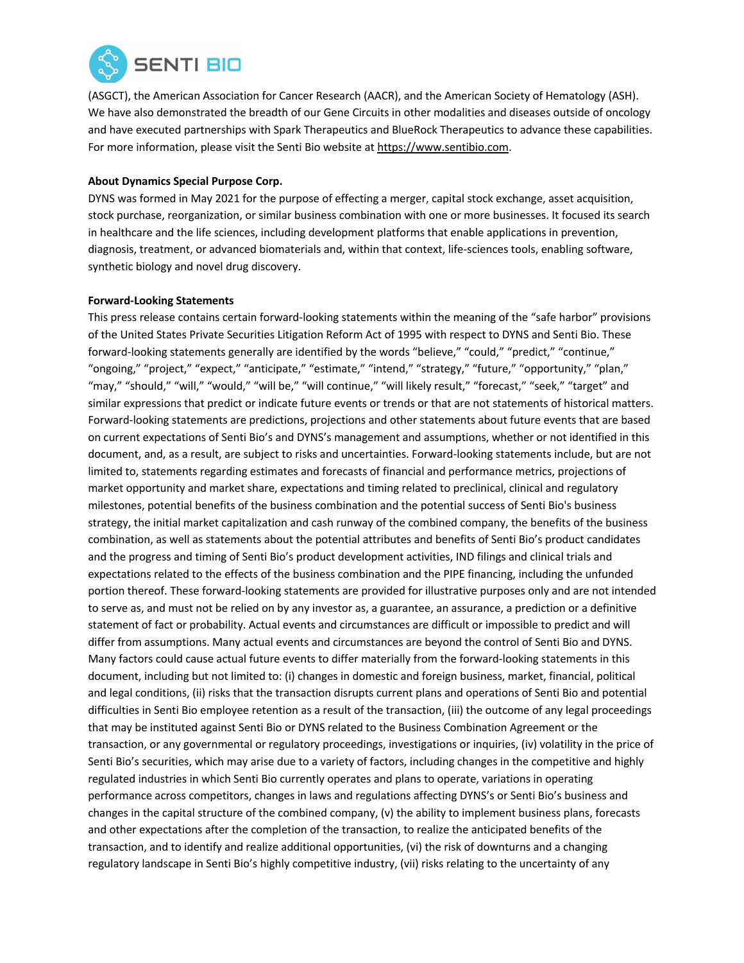

(ASGCT), the American Association for Cancer Research (AACR), and the American Society of Hematology (ASH). We have also demonstrated the breadth of our Gene Circuits in other modalities and diseases outside of oncology and have executed partnerships with Spark Therapeutics and BlueRock Therapeutics to advance these capabilities. For more information, please visit the Senti Bio website at https://www.sentibio.com.

### **About Dynamics Special Purpose Corp.**

DYNS was formed in May 2021 for the purpose of effecting a merger, capital stock exchange, asset acquisition, stock purchase, reorganization, or similar business combination with one or more businesses. It focused its search in healthcare and the life sciences, including development platforms that enable applications in prevention, diagnosis, treatment, or advanced biomaterials and, within that context, life-sciences tools, enabling software, synthetic biology and novel drug discovery.

### **Forward-Looking Statements**

This press release contains certain forward-looking statements within the meaning of the "safe harbor" provisions of the United States Private Securities Litigation Reform Act of 1995 with respect to DYNS and Senti Bio. These forward-looking statements generally are identified by the words "believe," "could," "predict," "continue," "ongoing," "project," "expect," "anticipate," "estimate," "intend," "strategy," "future," "opportunity," "plan," "may," "should," "will," "would," "will be," "will continue," "will likely result," "forecast," "seek," "target" and similar expressions that predict or indicate future events or trends or that are not statements of historical matters. Forward-looking statements are predictions, projections and other statements about future events that are based on current expectations of Senti Bio's and DYNS's management and assumptions, whether or not identified in this document, and, as a result, are subject to risks and uncertainties. Forward-looking statements include, but are not limited to, statements regarding estimates and forecasts of financial and performance metrics, projections of market opportunity and market share, expectations and timing related to preclinical, clinical and regulatory milestones, potential benefits of the business combination and the potential success of Senti Bio's business strategy, the initial market capitalization and cash runway of the combined company, the benefits of the business combination, as well as statements about the potential attributes and benefits of Senti Bio's product candidates and the progress and timing of Senti Bio's product development activities, IND filings and clinical trials and expectations related to the effects of the business combination and the PIPE financing, including the unfunded portion thereof. These forward-looking statements are provided for illustrative purposes only and are not intended to serve as, and must not be relied on by any investor as, a guarantee, an assurance, a prediction or a definitive statement of fact or probability. Actual events and circumstances are difficult or impossible to predict and will differ from assumptions. Many actual events and circumstances are beyond the control of Senti Bio and DYNS. Many factors could cause actual future events to differ materially from the forward-looking statements in this document, including but not limited to: (i) changes in domestic and foreign business, market, financial, political and legal conditions, (ii) risks that the transaction disrupts current plans and operations of Senti Bio and potential difficulties in Senti Bio employee retention as a result of the transaction, (iii) the outcome of any legal proceedings that may be instituted against Senti Bio or DYNS related to the Business Combination Agreement or the transaction, or any governmental or regulatory proceedings, investigations or inquiries, (iv) volatility in the price of Senti Bio's securities, which may arise due to a variety of factors, including changes in the competitive and highly regulated industries in which Senti Bio currently operates and plans to operate, variations in operating performance across competitors, changes in laws and regulations affecting DYNS's or Senti Bio's business and changes in the capital structure of the combined company, (v) the ability to implement business plans, forecasts and other expectations after the completion of the transaction, to realize the anticipated benefits of the transaction, and to identify and realize additional opportunities, (vi) the risk of downturns and a changing regulatory landscape in Senti Bio's highly competitive industry, (vii) risks relating to the uncertainty of any